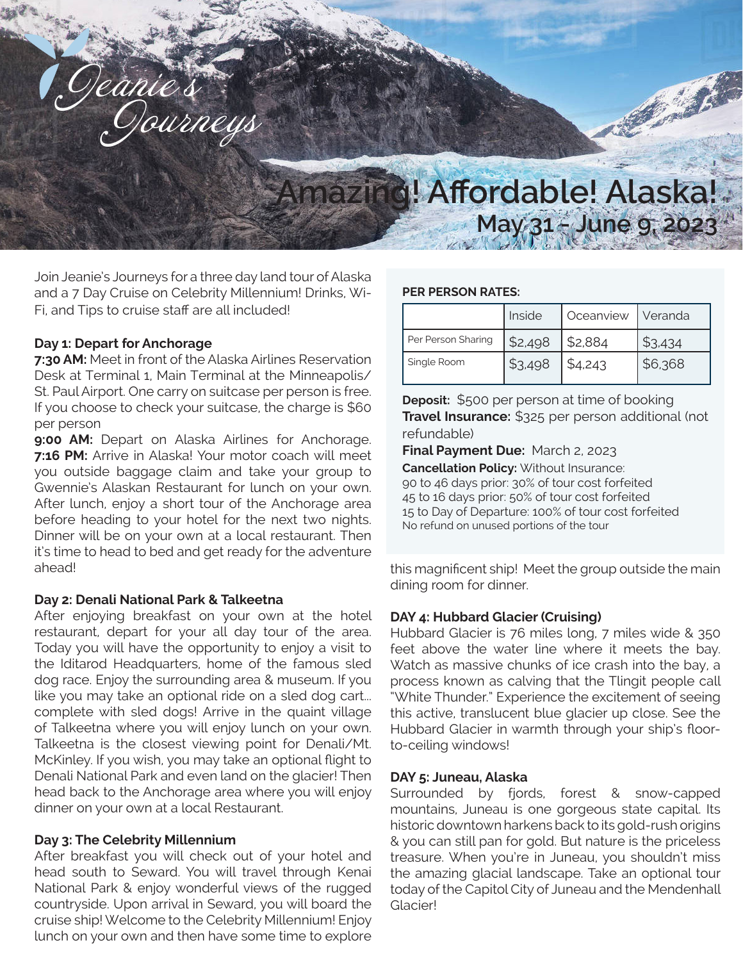

Join Jeanie's Journeys for a three day land tour of Alaska and a 7 Day Cruise on Celebrity Millennium! Drinks, Wi-Fi, and Tips to cruise staff are all included!

## **Day 1: Depart for Anchorage**

**7:30 AM:** Meet in front of the Alaska Airlines Reservation Desk at Terminal 1, Main Terminal at the Minneapolis/ St. Paul Airport. One carry on suitcase per person is free. If you choose to check your suitcase, the charge is \$60 per person

**9:00 AM:** Depart on Alaska Airlines for Anchorage. **7:16 PM:** Arrive in Alaska! Your motor coach will meet you outside baggage claim and take your group to Gwennie's Alaskan Restaurant for lunch on your own. After lunch, enjoy a short tour of the Anchorage area before heading to your hotel for the next two nights. Dinner will be on your own at a local restaurant. Then it's time to head to bed and get ready for the adventure ahead!

### **Day 2: Denali National Park & Talkeetna**

After enjoying breakfast on your own at the hotel restaurant, depart for your all day tour of the area. Today you will have the opportunity to enjoy a visit to the Iditarod Headquarters, home of the famous sled dog race. Enjoy the surrounding area & museum. If you like you may take an optional ride on a sled dog cart... complete with sled dogs! Arrive in the quaint village of Talkeetna where you will enjoy lunch on your own. Talkeetna is the closest viewing point for Denali/Mt. McKinley. If you wish, you may take an optional flight to Denali National Park and even land on the glacier! Then head back to the Anchorage area where you will enjoy dinner on your own at a local Restaurant.

# **Day 3: The Celebrity Millennium**

After breakfast you will check out of your hotel and head south to Seward. You will travel through Kenai National Park & enjoy wonderful views of the rugged countryside. Upon arrival in Seward, you will board the cruise ship! Welcome to the Celebrity Millennium! Enjoy lunch on your own and then have some time to explore

## **PER PERSON RATES:**

|                    | Inside  | Oceanview   Veranda |         |
|--------------------|---------|---------------------|---------|
| Per Person Sharing | \$2,498 | \$2,884             | \$3,434 |
| Single Room        | \$3,498 | \$4,243             | \$6,368 |

**Deposit:** \$500 per person at time of booking **Travel Insurance:** \$325 per person additional (not refundable)

**Final Payment Due:** March 2, 2023

**Cancellation Policy:** Without Insurance: 90 to 46 days prior: 30% of tour cost forfeited 45 to 16 days prior: 50% of tour cost forfeited 15 to Day of Departure: 100% of tour cost forfeited No refund on unused portions of the tour

this magnificent ship! Meet the group outside the main dining room for dinner.

# **DAY 4: Hubbard Glacier (Cruising)**

Hubbard Glacier is 76 miles long, 7 miles wide & 350 feet above the water line where it meets the bay. Watch as massive chunks of ice crash into the bay, a process known as calving that the Tlingit people call "White Thunder." Experience the excitement of seeing this active, translucent blue glacier up close. See the Hubbard Glacier in warmth through your ship's floorto-ceiling windows!

# **DAY 5: Juneau, Alaska**

Surrounded by fjords, forest & snow-capped mountains, Juneau is one gorgeous state capital. Its historic downtown harkens back to its gold-rush origins & you can still pan for gold. But nature is the priceless treasure. When you're in Juneau, you shouldn't miss the amazing glacial landscape. Take an optional tour today of the Capitol City of Juneau and the Mendenhall Glacier!